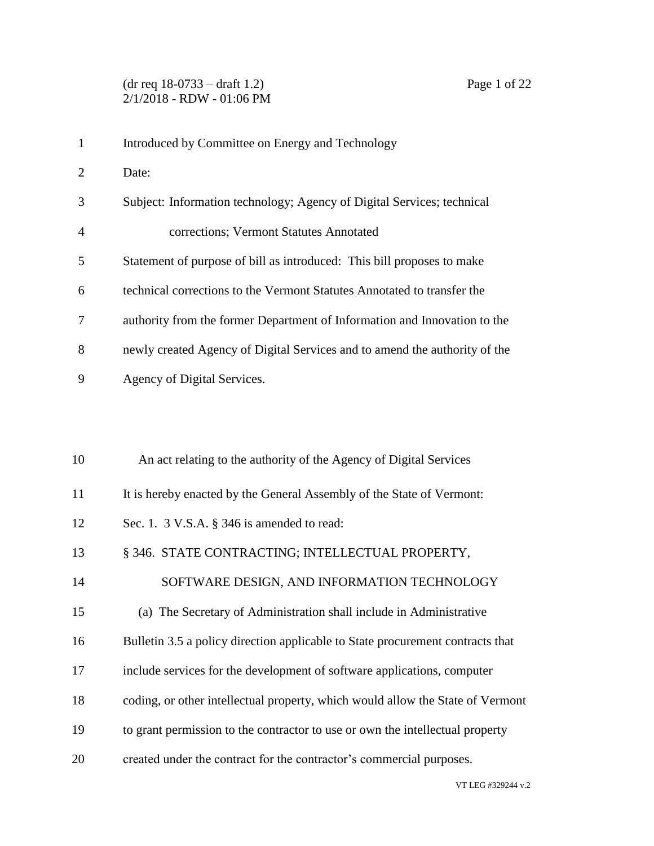(dr req 18-0733 – draft 1.2) Page 1 of 22 2/1/2018 - RDW - 01:06 PM

| $\mathbf{1}$   | Introduced by Committee on Energy and Technology                               |
|----------------|--------------------------------------------------------------------------------|
| $\overline{2}$ | Date:                                                                          |
| 3              | Subject: Information technology; Agency of Digital Services; technical         |
| 4              | corrections; Vermont Statutes Annotated                                        |
| 5              | Statement of purpose of bill as introduced: This bill proposes to make         |
| 6              | technical corrections to the Vermont Statutes Annotated to transfer the        |
| 7              | authority from the former Department of Information and Innovation to the      |
| 8              | newly created Agency of Digital Services and to amend the authority of the     |
| 9              | Agency of Digital Services.                                                    |
|                |                                                                                |
|                |                                                                                |
| 10             | An act relating to the authority of the Agency of Digital Services             |
| 11             | It is hereby enacted by the General Assembly of the State of Vermont:          |
| 12             | Sec. 1. 3 V.S.A. § 346 is amended to read:                                     |
| 13             | § 346. STATE CONTRACTING; INTELLECTUAL PROPERTY,                               |
| 14             | SOFTWARE DESIGN, AND INFORMATION TECHNOLOGY                                    |
| 15             | (a) The Secretary of Administration shall include in Administrative            |
| 16             | Bulletin 3.5 a policy direction applicable to State procurement contracts that |
| 17             | include services for the development of software applications, computer        |
| 18             | coding, or other intellectual property, which would allow the State of Vermont |
| 19             | to grant permission to the contractor to use or own the intellectual property  |
| 20             | created under the contract for the contractor's commercial purposes.           |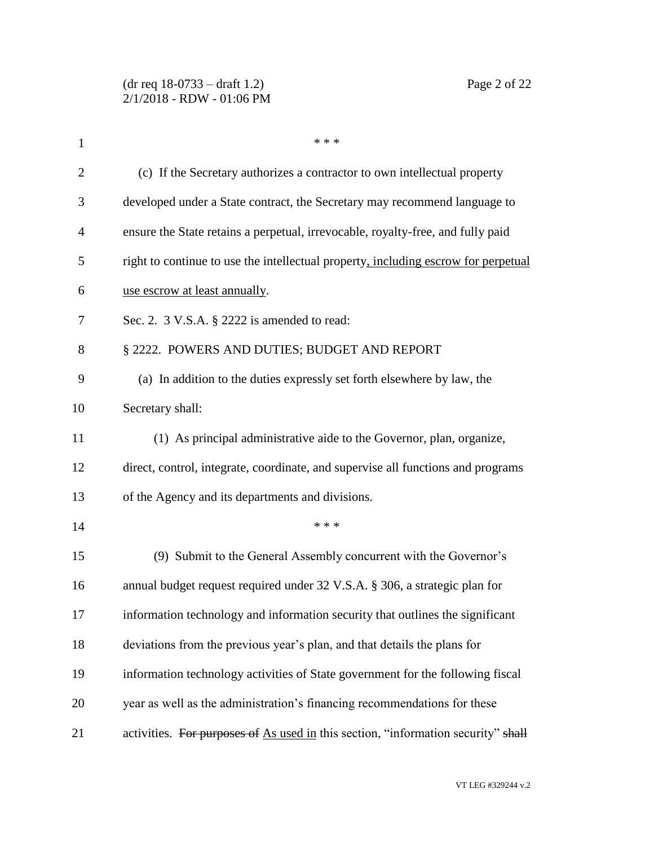| $\mathbf{1}$   | * * *                                                                              |
|----------------|------------------------------------------------------------------------------------|
| $\overline{2}$ | (c) If the Secretary authorizes a contractor to own intellectual property          |
| 3              | developed under a State contract, the Secretary may recommend language to          |
| 4              | ensure the State retains a perpetual, irrevocable, royalty-free, and fully paid    |
| 5              | right to continue to use the intellectual property, including escrow for perpetual |
| 6              | use escrow at least annually.                                                      |
| 7              | Sec. 2. 3 V.S.A. § 2222 is amended to read:                                        |
| 8              | § 2222. POWERS AND DUTIES; BUDGET AND REPORT                                       |
| 9              | (a) In addition to the duties expressly set forth elsewhere by law, the            |
| 10             | Secretary shall:                                                                   |
| 11             | (1) As principal administrative aide to the Governor, plan, organize,              |
| 12             | direct, control, integrate, coordinate, and supervise all functions and programs   |
| 13             | of the Agency and its departments and divisions.                                   |
| 14             | * * *                                                                              |
| 15             | (9) Submit to the General Assembly concurrent with the Governor's                  |
| 16             | annual budget request required under 32 V.S.A. § 306, a strategic plan for         |
| 17             | information technology and information security that outlines the significant      |
| 18             | deviations from the previous year's plan, and that details the plans for           |
| 19             | information technology activities of State government for the following fiscal     |
| 20             | year as well as the administration's financing recommendations for these           |
| 21             | activities. For purposes of As used in this section, "information security" shall  |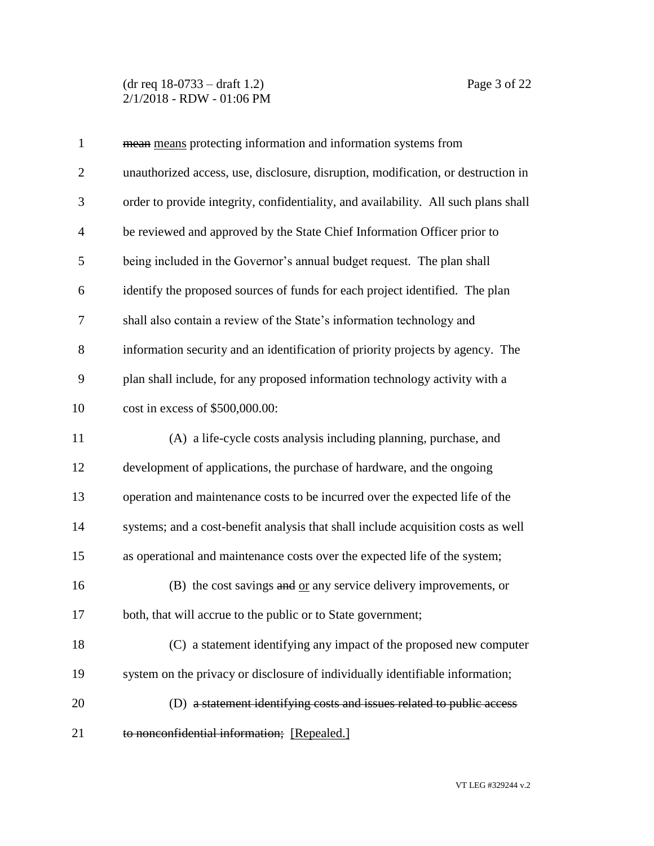(dr req 18-0733 – draft 1.2) Page 3 of 22 2/1/2018 - RDW - 01:06 PM

| $\mathbf{1}$   | mean means protecting information and information systems from                      |
|----------------|-------------------------------------------------------------------------------------|
| $\mathbf{2}$   | unauthorized access, use, disclosure, disruption, modification, or destruction in   |
| 3              | order to provide integrity, confidentiality, and availability. All such plans shall |
| $\overline{4}$ | be reviewed and approved by the State Chief Information Officer prior to            |
| 5              | being included in the Governor's annual budget request. The plan shall              |
| 6              | identify the proposed sources of funds for each project identified. The plan        |
| 7              | shall also contain a review of the State's information technology and               |
| 8              | information security and an identification of priority projects by agency. The      |
| 9              | plan shall include, for any proposed information technology activity with a         |
| 10             | cost in excess of \$500,000.00:                                                     |
| 11             | (A) a life-cycle costs analysis including planning, purchase, and                   |
| 12             | development of applications, the purchase of hardware, and the ongoing              |
| 13             | operation and maintenance costs to be incurred over the expected life of the        |
| 14             | systems; and a cost-benefit analysis that shall include acquisition costs as well   |
| 15             | as operational and maintenance costs over the expected life of the system;          |
| 16             | (B) the cost savings and or any service delivery improvements, or                   |
| 17             | both, that will accrue to the public or to State government;                        |
| 18             | (C) a statement identifying any impact of the proposed new computer                 |
| 19             | system on the privacy or disclosure of individually identifiable information;       |
| 20             | (D) a statement identifying costs and issues related to public access               |
| 21             | to nonconfidential information; [Repealed.]                                         |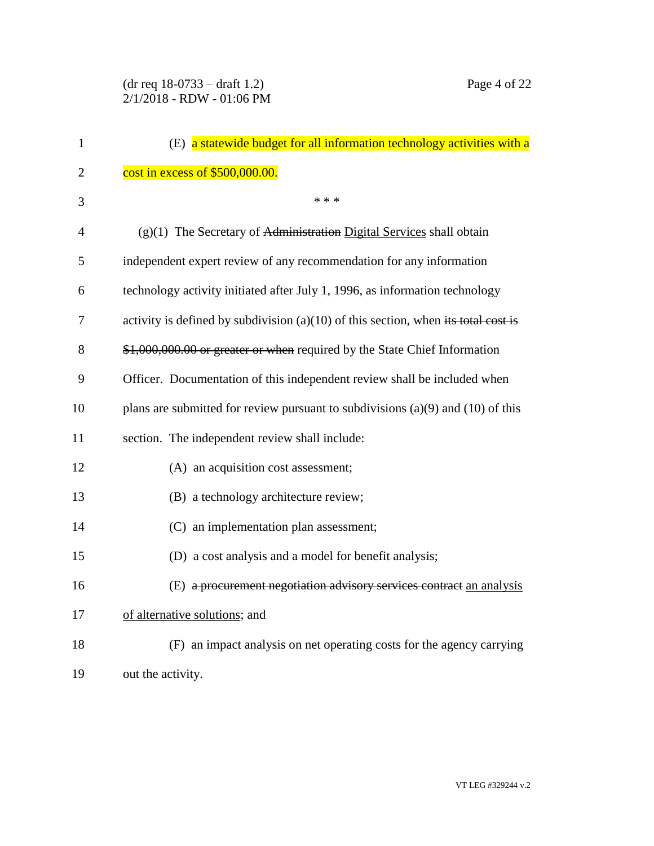| 1              | (E) a statewide budget for all information technology activities with a              |
|----------------|--------------------------------------------------------------------------------------|
| $\overline{2}$ | cost in excess of \$500,000.00.                                                      |
| 3              | * * *                                                                                |
| $\overline{4}$ | $(g)(1)$ The Secretary of Administration Digital Services shall obtain               |
| 5              | independent expert review of any recommendation for any information                  |
| 6              | technology activity initiated after July 1, 1996, as information technology          |
| 7              | activity is defined by subdivision $(a)(10)$ of this section, when its total cost is |
| 8              | \$1,000,000.00 or greater or when required by the State Chief Information            |
| 9              | Officer. Documentation of this independent review shall be included when             |
| 10             | plans are submitted for review pursuant to subdivisions $(a)(9)$ and $(10)$ of this  |
| 11             | section. The independent review shall include:                                       |
| 12             | (A) an acquisition cost assessment;                                                  |
| 13             | (B) a technology architecture review;                                                |
| 14             | (C) an implementation plan assessment;                                               |
| 15             | (D) a cost analysis and a model for benefit analysis;                                |
| 16             | (E) a procurement negotiation advisory services contract an analysis                 |
| 17             | of alternative solutions; and                                                        |
| 18             | (F) an impact analysis on net operating costs for the agency carrying                |
| 19             | out the activity.                                                                    |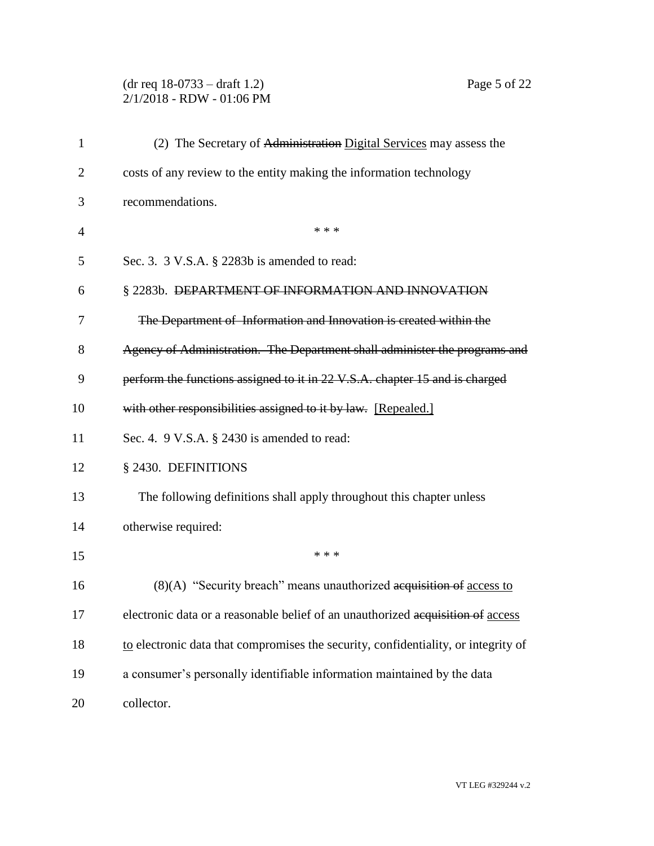# (dr req 18-0733 – draft 1.2) Page 5 of 22 2/1/2018 - RDW - 01:06 PM

| $\mathbf{1}$   | (2) The Secretary of Administration Digital Services may assess the                |
|----------------|------------------------------------------------------------------------------------|
| $\overline{2}$ | costs of any review to the entity making the information technology                |
| 3              | recommendations.                                                                   |
| 4              | * * *                                                                              |
| 5              | Sec. 3. 3 V.S.A. § 2283b is amended to read:                                       |
| 6              | § 2283b. DEPARTMENT OF INFORMATION AND INNOVATION                                  |
| 7              | The Department of Information and Innovation is created within the                 |
| 8              | Agency of Administration. The Department shall administer the programs and         |
| 9              | perform the functions assigned to it in 22 V.S.A. chapter 15 and is charged        |
| 10             | with other responsibilities assigned to it by law. [Repealed.]                     |
| 11             | Sec. 4. 9 V.S.A. § 2430 is amended to read:                                        |
| 12             | § 2430. DEFINITIONS                                                                |
| 13             | The following definitions shall apply throughout this chapter unless               |
| 14             | otherwise required:                                                                |
| 15             | * * *                                                                              |
| 16             | $(8)(A)$ "Security breach" means unauthorized acquisition of access to             |
| 17             | electronic data or a reasonable belief of an unauthorized acquisition of access    |
| 18             | to electronic data that compromises the security, confidentiality, or integrity of |
| 19             | a consumer's personally identifiable information maintained by the data            |
| 20             | collector.                                                                         |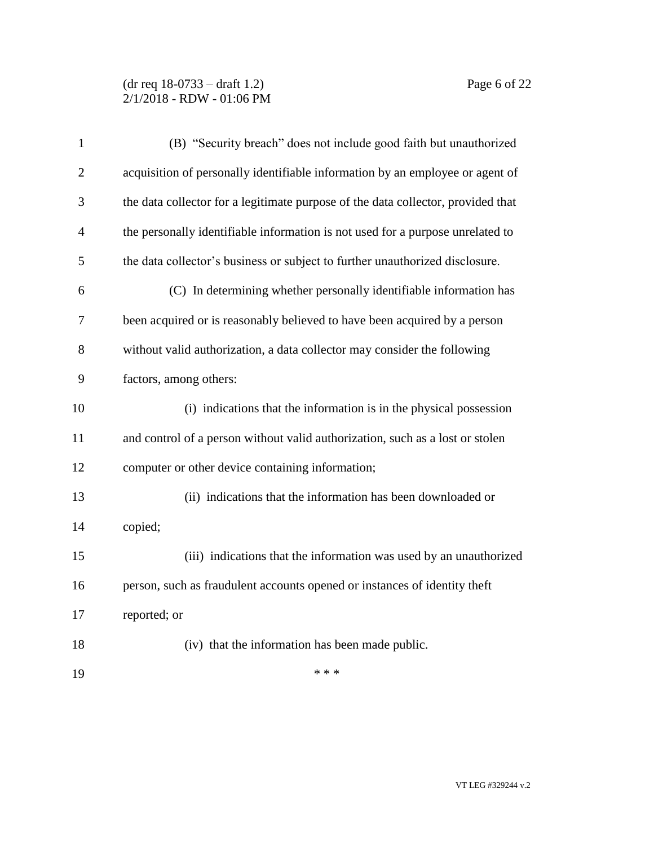# (dr req 18-0733 – draft 1.2) Page 6 of 22 2/1/2018 - RDW - 01:06 PM

| $\mathbf{1}$   | (B) "Security breach" does not include good faith but unauthorized               |
|----------------|----------------------------------------------------------------------------------|
| $\overline{2}$ | acquisition of personally identifiable information by an employee or agent of    |
| 3              | the data collector for a legitimate purpose of the data collector, provided that |
| 4              | the personally identifiable information is not used for a purpose unrelated to   |
| 5              | the data collector's business or subject to further unauthorized disclosure.     |
| 6              | (C) In determining whether personally identifiable information has               |
| 7              | been acquired or is reasonably believed to have been acquired by a person        |
| 8              | without valid authorization, a data collector may consider the following         |
| 9              | factors, among others:                                                           |
| 10             | (i) indications that the information is in the physical possession               |
| 11             | and control of a person without valid authorization, such as a lost or stolen    |
| 12             | computer or other device containing information;                                 |
| 13             | (ii) indications that the information has been downloaded or                     |
| 14             | copied;                                                                          |
| 15             | (iii) indications that the information was used by an unauthorized               |
| 16             | person, such as fraudulent accounts opened or instances of identity theft        |
| 17             | reported; or                                                                     |
| 18             | (iv) that the information has been made public.                                  |
| 19             | * * *                                                                            |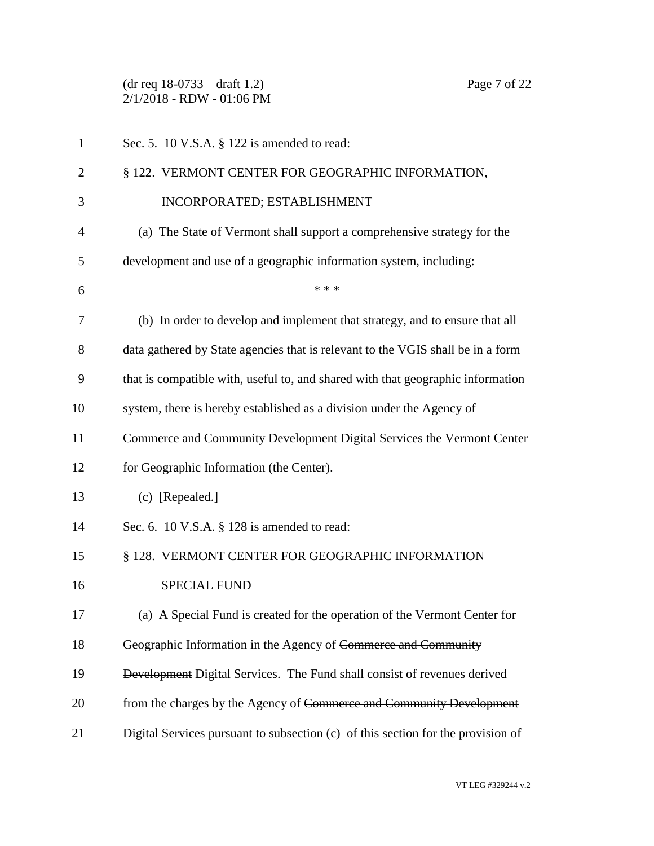(dr req 18-0733 – draft 1.2) Page 7 of 22 2/1/2018 - RDW - 01:06 PM

| $\mathbf{1}$   | Sec. 5. 10 V.S.A. § 122 is amended to read:                                      |
|----------------|----------------------------------------------------------------------------------|
| 2              | § 122. VERMONT CENTER FOR GEOGRAPHIC INFORMATION,                                |
| 3              | INCORPORATED; ESTABLISHMENT                                                      |
| $\overline{4}$ | (a) The State of Vermont shall support a comprehensive strategy for the          |
| 5              | development and use of a geographic information system, including:               |
| 6              | * * *                                                                            |
| 7              | (b) In order to develop and implement that strategy, and to ensure that all      |
| 8              | data gathered by State agencies that is relevant to the VGIS shall be in a form  |
| 9              | that is compatible with, useful to, and shared with that geographic information  |
| 10             | system, there is hereby established as a division under the Agency of            |
| 11             | Commerce and Community Development Digital Services the Vermont Center           |
| 12             | for Geographic Information (the Center).                                         |
| 13             | (c) [Repealed.]                                                                  |
| 14             | Sec. 6. 10 V.S.A. $\S$ 128 is amended to read:                                   |
| 15             | § 128. VERMONT CENTER FOR GEOGRAPHIC INFORMATION                                 |
| 16             | <b>SPECIAL FUND</b>                                                              |
| 17             | (a) A Special Fund is created for the operation of the Vermont Center for        |
| 18             | Geographic Information in the Agency of Commerce and Community                   |
| 19             | Development Digital Services. The Fund shall consist of revenues derived         |
| 20             | from the charges by the Agency of Commerce and Community Development             |
| 21             | Digital Services pursuant to subsection (c) of this section for the provision of |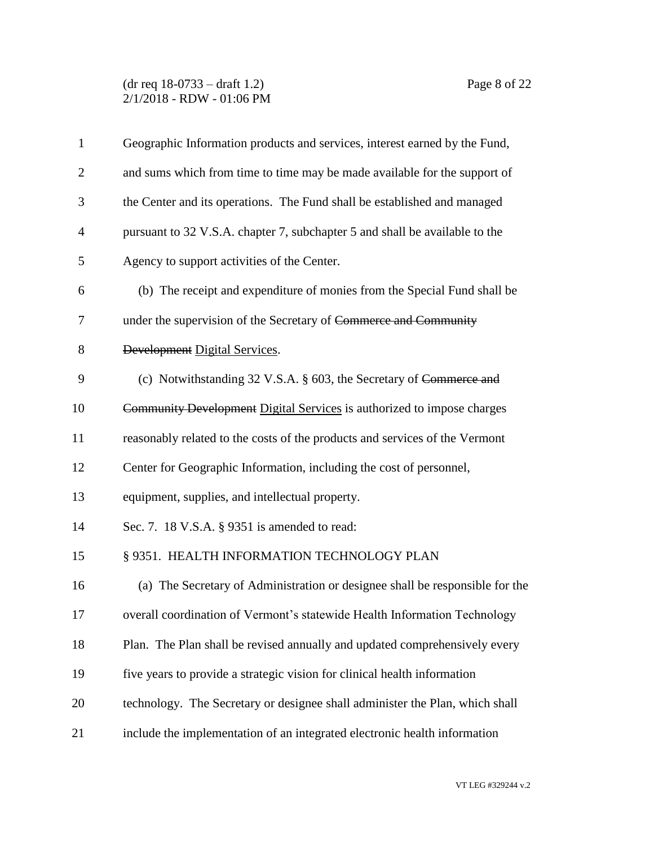## (dr req 18-0733 – draft 1.2) Page 8 of 22 2/1/2018 - RDW - 01:06 PM

| $\mathbf{1}$   | Geographic Information products and services, interest earned by the Fund,   |
|----------------|------------------------------------------------------------------------------|
| $\mathbf{2}$   | and sums which from time to time may be made available for the support of    |
| 3              | the Center and its operations. The Fund shall be established and managed     |
| $\overline{4}$ | pursuant to 32 V.S.A. chapter 7, subchapter 5 and shall be available to the  |
| 5              | Agency to support activities of the Center.                                  |
| 6              | (b) The receipt and expenditure of monies from the Special Fund shall be     |
| 7              | under the supervision of the Secretary of Commerce and Community             |
| 8              | Development Digital Services.                                                |
| 9              | (c) Notwithstanding 32 V.S.A. § 603, the Secretary of Commerce and           |
| 10             | Community Development Digital Services is authorized to impose charges       |
| 11             | reasonably related to the costs of the products and services of the Vermont  |
| 12             | Center for Geographic Information, including the cost of personnel,          |
| 13             | equipment, supplies, and intellectual property.                              |
| 14             | Sec. 7. 18 V.S.A. § 9351 is amended to read:                                 |
| 15             | § 9351. HEALTH INFORMATION TECHNOLOGY PLAN                                   |
| 16             | (a) The Secretary of Administration or designee shall be responsible for the |
| 17             | overall coordination of Vermont's statewide Health Information Technology    |
| 18             | Plan. The Plan shall be revised annually and updated comprehensively every   |
| 19             | five years to provide a strategic vision for clinical health information     |
| 20             | technology. The Secretary or designee shall administer the Plan, which shall |
| 21             | include the implementation of an integrated electronic health information    |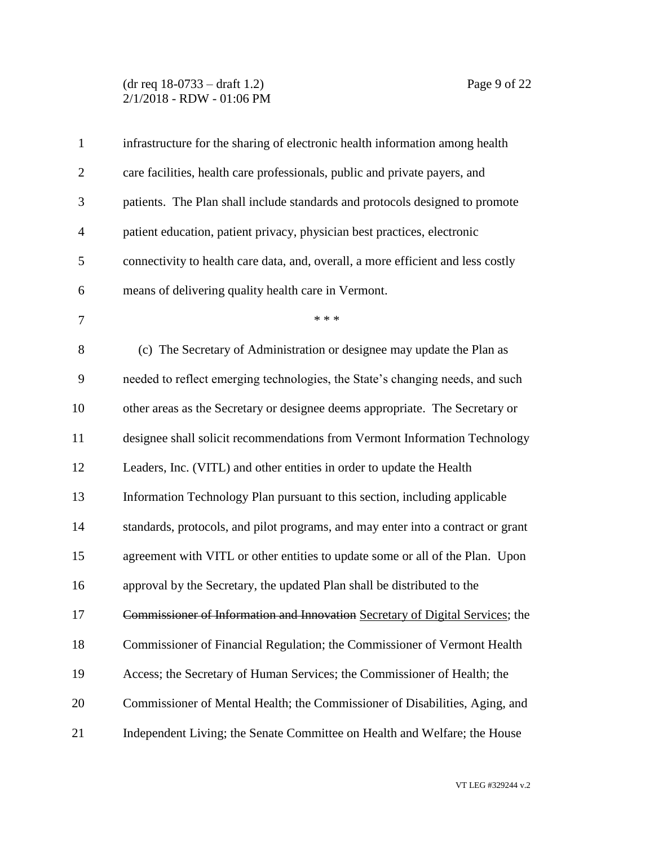# (dr req 18-0733 – draft 1.2) Page 9 of 22 2/1/2018 - RDW - 01:06 PM

| $\mathbf{1}$   | infrastructure for the sharing of electronic health information among health     |
|----------------|----------------------------------------------------------------------------------|
| $\overline{2}$ | care facilities, health care professionals, public and private payers, and       |
| 3              | patients. The Plan shall include standards and protocols designed to promote     |
| $\overline{4}$ | patient education, patient privacy, physician best practices, electronic         |
| 5              | connectivity to health care data, and, overall, a more efficient and less costly |
| 6              | means of delivering quality health care in Vermont.                              |
| $\tau$         | * * *                                                                            |
| 8              | (c) The Secretary of Administration or designee may update the Plan as           |
| 9              | needed to reflect emerging technologies, the State's changing needs, and such    |
| 10             | other areas as the Secretary or designee deems appropriate. The Secretary or     |
| 11             | designee shall solicit recommendations from Vermont Information Technology       |
| 12             | Leaders, Inc. (VITL) and other entities in order to update the Health            |
| 13             | Information Technology Plan pursuant to this section, including applicable       |
| 14             | standards, protocols, and pilot programs, and may enter into a contract or grant |
| 15             | agreement with VITL or other entities to update some or all of the Plan. Upon    |
| 16             | approval by the Secretary, the updated Plan shall be distributed to the          |
| 17             | Commissioner of Information and Innovation Secretary of Digital Services; the    |
| 18             | Commissioner of Financial Regulation; the Commissioner of Vermont Health         |
| 19             | Access; the Secretary of Human Services; the Commissioner of Health; the         |
| 20             | Commissioner of Mental Health; the Commissioner of Disabilities, Aging, and      |
| 21             | Independent Living; the Senate Committee on Health and Welfare; the House        |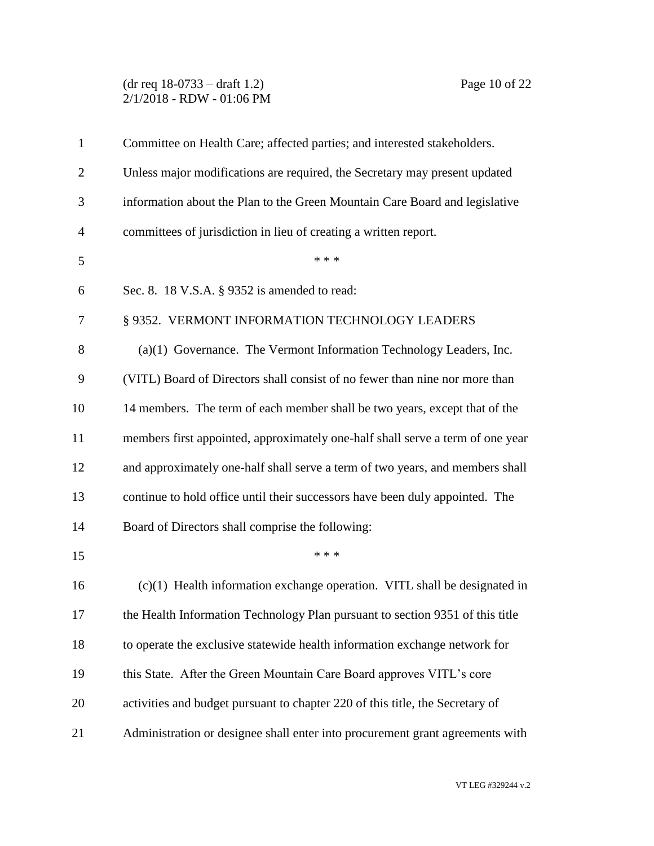(dr req 18-0733 – draft 1.2) Page 10 of 22 2/1/2018 - RDW - 01:06 PM

| $\mathbf{1}$   | Committee on Health Care; affected parties; and interested stakeholders.       |
|----------------|--------------------------------------------------------------------------------|
| $\overline{2}$ | Unless major modifications are required, the Secretary may present updated     |
| 3              | information about the Plan to the Green Mountain Care Board and legislative    |
| $\overline{4}$ | committees of jurisdiction in lieu of creating a written report.               |
| 5              | * * *                                                                          |
| 6              | Sec. 8. 18 V.S.A. § 9352 is amended to read:                                   |
| 7              | § 9352. VERMONT INFORMATION TECHNOLOGY LEADERS                                 |
| 8              | $(a)(1)$ Governance. The Vermont Information Technology Leaders, Inc.          |
| 9              | (VITL) Board of Directors shall consist of no fewer than nine nor more than    |
| 10             | 14 members. The term of each member shall be two years, except that of the     |
| 11             | members first appointed, approximately one-half shall serve a term of one year |
| 12             | and approximately one-half shall serve a term of two years, and members shall  |
| 13             | continue to hold office until their successors have been duly appointed. The   |
| 14             | Board of Directors shall comprise the following:                               |
| 15             | * * *                                                                          |
| 16             | $(c)(1)$ Health information exchange operation. VITL shall be designated in    |
| 17             | the Health Information Technology Plan pursuant to section 9351 of this title  |
| 18             | to operate the exclusive statewide health information exchange network for     |
| 19             | this State. After the Green Mountain Care Board approves VITL's core           |
| 20             | activities and budget pursuant to chapter 220 of this title, the Secretary of  |
| 21             | Administration or designee shall enter into procurement grant agreements with  |
|                |                                                                                |

VT LEG #329244 v.2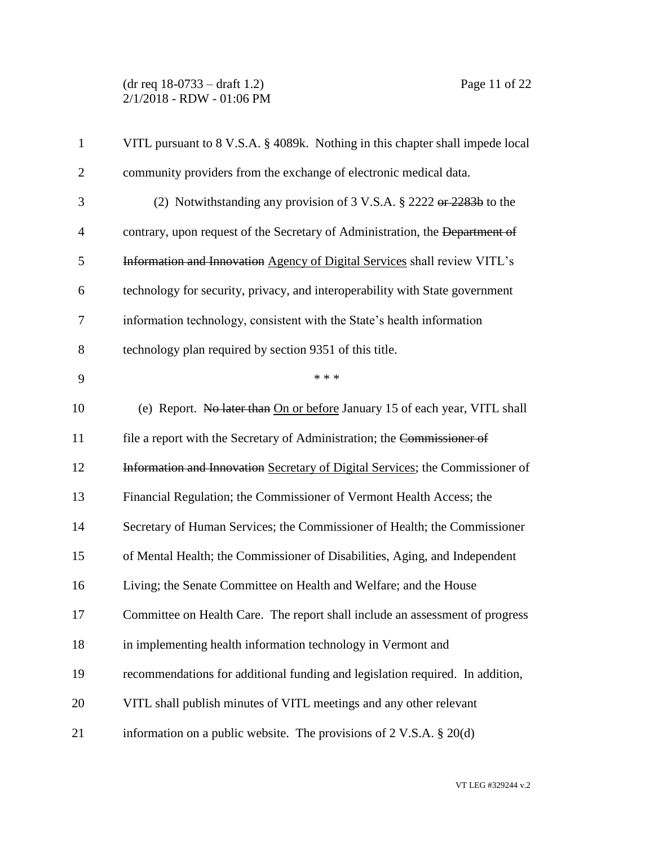(dr req 18-0733 – draft 1.2) Page 11 of 22 2/1/2018 - RDW - 01:06 PM

| $\mathbf{1}$   | VITL pursuant to 8 V.S.A. § 4089k. Nothing in this chapter shall impede local  |
|----------------|--------------------------------------------------------------------------------|
| $\overline{2}$ | community providers from the exchange of electronic medical data.              |
| 3              | (2) Notwithstanding any provision of 3 V.S.A. $\S$ 2222 or 2283b to the        |
| $\overline{4}$ | contrary, upon request of the Secretary of Administration, the Department of   |
| 5              | Information and Innovation Agency of Digital Services shall review VITL's      |
| 6              | technology for security, privacy, and interoperability with State government   |
| 7              | information technology, consistent with the State's health information         |
| 8              | technology plan required by section 9351 of this title.                        |
| 9              | * * *                                                                          |
| 10             | (e) Report. No later than On or before January 15 of each year, VITL shall     |
| 11             | file a report with the Secretary of Administration; the Commissioner of        |
| 12             | Information and Innovation Secretary of Digital Services; the Commissioner of  |
| 13             | Financial Regulation; the Commissioner of Vermont Health Access; the           |
| 14             | Secretary of Human Services; the Commissioner of Health; the Commissioner      |
| 15             | of Mental Health; the Commissioner of Disabilities, Aging, and Independent     |
| 16             | Living; the Senate Committee on Health and Welfare; and the House              |
| 17             | Committee on Health Care. The report shall include an assessment of progress   |
| 18             | in implementing health information technology in Vermont and                   |
| 19             | recommendations for additional funding and legislation required. In addition,  |
| 20             | VITL shall publish minutes of VITL meetings and any other relevant             |
| 21             | information on a public website. The provisions of $2 \text{ V.S.A. } § 20(d)$ |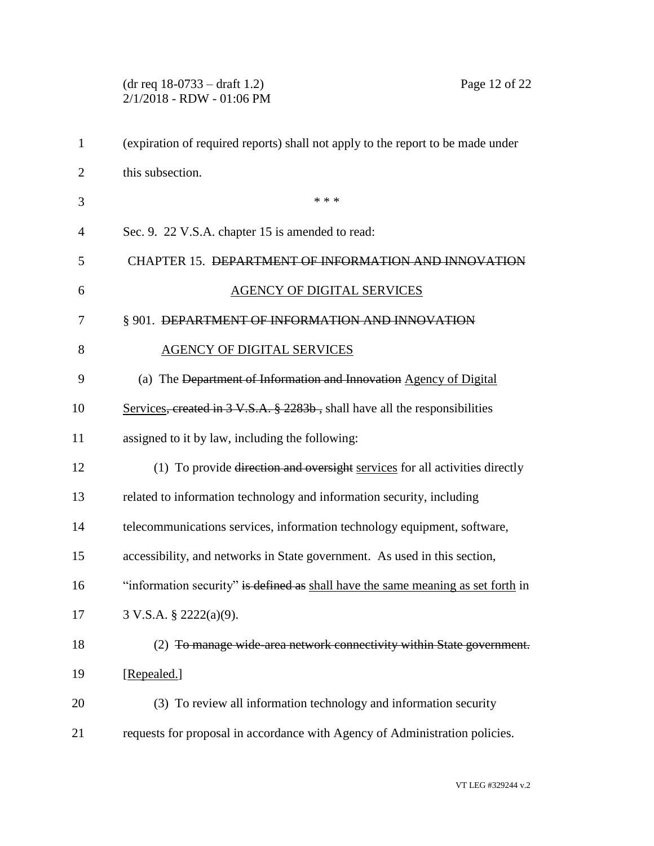|                | $(dr \text{ req } 18-0733 - draft 1.2)$<br>Page 12 of 22<br>2/1/2018 - RDW - 01:06 PM             |
|----------------|---------------------------------------------------------------------------------------------------|
| $\mathbf{1}$   | (expiration of required reports) shall not apply to the report to be made under                   |
| $\overline{2}$ | this subsection.                                                                                  |
| 3              | * * *                                                                                             |
| 4              | Sec. 9. 22 V.S.A. chapter 15 is amended to read:                                                  |
| 5              | CHAPTER 15. DEPARTMENT OF INFORMATION AND INNOVATION                                              |
| 6              | <b>AGENCY OF DIGITAL SERVICES</b>                                                                 |
| 7              | § 901. DEPARTMENT OF INFORMATION AND INNOVATION                                                   |
| 8              | <b>AGENCY OF DIGITAL SERVICES</b>                                                                 |
| 9              | (a) The Department of Information and Innovation Agency of Digital                                |
| 10             | Services, created in $3 \text{ V.S.A. }$ $\frac{8}{9}$ 2283b, shall have all the responsibilities |
| 11             | assigned to it by law, including the following:                                                   |
| 12             | (1) To provide direction and oversight services for all activities directly                       |
| 13             | related to information technology and information security, including                             |
| 14             | telecommunications services, information technology equipment, software,                          |
| 15             | accessibility, and networks in State government. As used in this section,                         |
| 16             | "information security" is defined as shall have the same meaning as set forth in                  |
| 17             | 3 V.S.A. § 2222(a)(9).                                                                            |
| 18             | (2) To manage wide area network connectivity within State government.                             |
| 19             | [Repealed.]                                                                                       |
| 20             | (3) To review all information technology and information security                                 |
| 21             | requests for proposal in accordance with Agency of Administration policies.                       |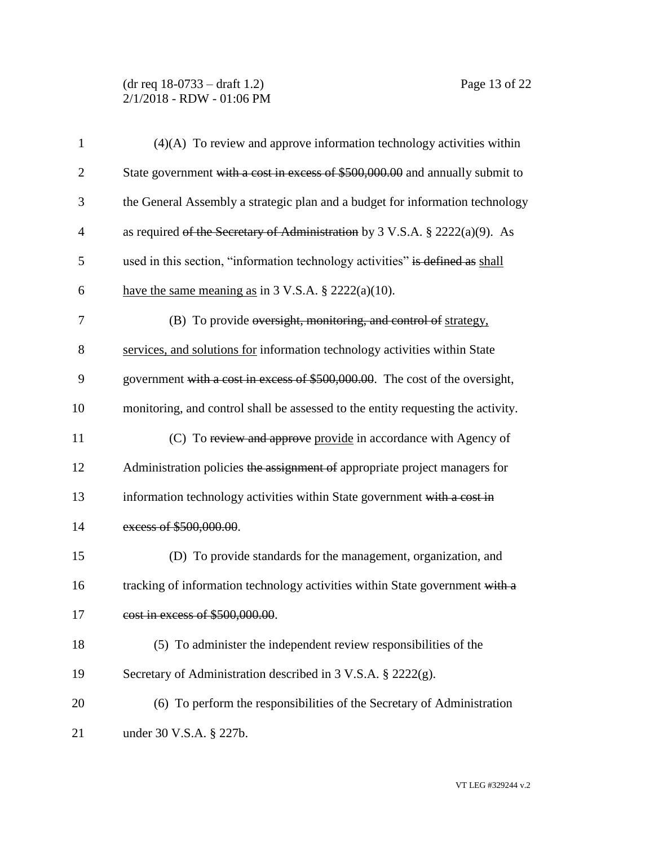## (dr req 18-0733 – draft 1.2) Page 13 of 22 2/1/2018 - RDW - 01:06 PM

| $\mathbf{1}$   | $(4)(A)$ To review and approve information technology activities within          |  |  |  |
|----------------|----------------------------------------------------------------------------------|--|--|--|
| $\overline{c}$ | State government with a cost in excess of \$500,000.00 and annually submit to    |  |  |  |
| 3              | the General Assembly a strategic plan and a budget for information technology    |  |  |  |
| $\overline{4}$ | as required of the Secretary of Administration by 3 V.S.A. $\S$ 2222(a)(9). As   |  |  |  |
| 5              | used in this section, "information technology activities" is defined as shall    |  |  |  |
| 6              | have the same meaning as in $3 \text{ V.S.A. }$ \$ 2222(a)(10).                  |  |  |  |
| 7              | (B) To provide oversight, monitoring, and control of strategy,                   |  |  |  |
| 8              | services, and solutions for information technology activities within State       |  |  |  |
| 9              | government with a cost in excess of \$500,000.00. The cost of the oversight,     |  |  |  |
| 10             | monitoring, and control shall be assessed to the entity requesting the activity. |  |  |  |
| 11             | (C) To review and approve provide in accordance with Agency of                   |  |  |  |
| 12             | Administration policies the assignment of appropriate project managers for       |  |  |  |
| 13             | information technology activities within State government with a cost in         |  |  |  |
| 14             | excess of \$500,000.00.                                                          |  |  |  |
| 15             | (D) To provide standards for the management, organization, and                   |  |  |  |
| 16             | tracking of information technology activities within State government with a     |  |  |  |
| 17             | cost in excess of \$500,000.00.                                                  |  |  |  |
| 18             | (5) To administer the independent review responsibilities of the                 |  |  |  |
| 19             | Secretary of Administration described in 3 V.S.A. § 2222(g).                     |  |  |  |
| 20             | (6) To perform the responsibilities of the Secretary of Administration           |  |  |  |
| 21             | under 30 V.S.A. § 227b.                                                          |  |  |  |

VT LEG #329244 v.2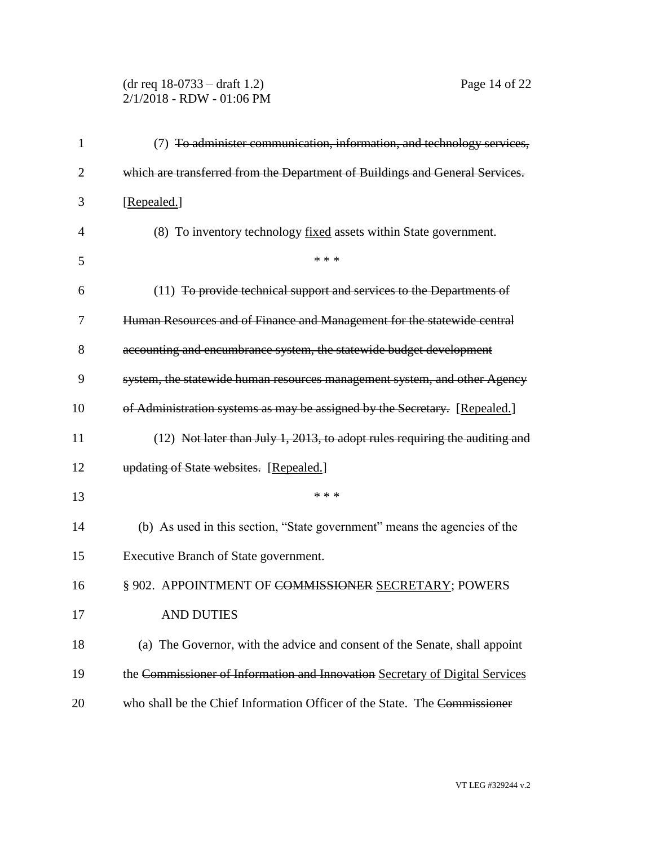# (dr req 18-0733 – draft 1.2) Page 14 of 22 2/1/2018 - RDW - 01:06 PM

| 1              | (7) To administer communication, information, and technology services,        |  |  |  |
|----------------|-------------------------------------------------------------------------------|--|--|--|
| $\overline{2}$ | which are transferred from the Department of Buildings and General Services.  |  |  |  |
| 3              | [Repealed.]                                                                   |  |  |  |
| 4              | (8) To inventory technology fixed assets within State government.             |  |  |  |
| 5              | * * *                                                                         |  |  |  |
| 6              | (11) To provide technical support and services to the Departments of          |  |  |  |
| 7              | Human Resources and of Finance and Management for the statewide central       |  |  |  |
| 8              | accounting and encumbrance system, the statewide budget development           |  |  |  |
| 9              | system, the statewide human resources management system, and other Ageney     |  |  |  |
| 10             | of Administration systems as may be assigned by the Secretary. [Repealed.]    |  |  |  |
| 11             | $(12)$ Not later than July 1, 2013, to adopt rules requiring the auditing and |  |  |  |
| 12             | updating of State websites. [Repealed.]                                       |  |  |  |
| 13             | * * *                                                                         |  |  |  |
| 14             | (b) As used in this section, "State government" means the agencies of the     |  |  |  |
| 15             | Executive Branch of State government.                                         |  |  |  |
| 16             | § 902. APPOINTMENT OF COMMISSIONER SECRETARY; POWERS                          |  |  |  |
| 17             | <b>AND DUTIES</b>                                                             |  |  |  |
| 18             | (a) The Governor, with the advice and consent of the Senate, shall appoint    |  |  |  |
| 19             | the Commissioner of Information and Innovation Secretary of Digital Services  |  |  |  |
| 20             | who shall be the Chief Information Officer of the State. The Commissioner     |  |  |  |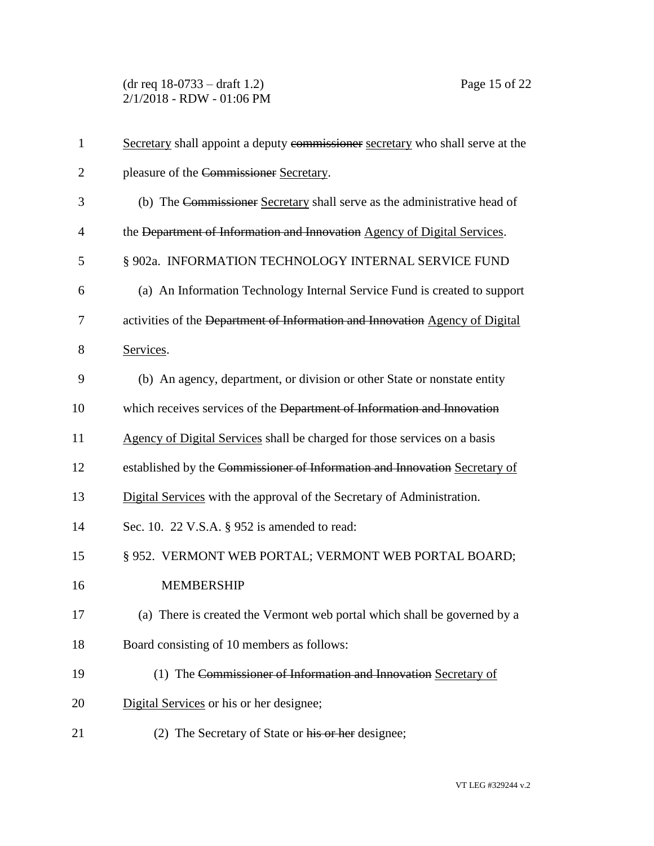| $\mathbf{1}$   | Secretary shall appoint a deputy commissioner secretary who shall serve at the |  |  |  |
|----------------|--------------------------------------------------------------------------------|--|--|--|
| $\overline{2}$ | pleasure of the Commissioner Secretary.                                        |  |  |  |
| 3              | (b) The Commissioner Secretary shall serve as the administrative head of       |  |  |  |
| 4              | the Department of Information and Innovation Agency of Digital Services.       |  |  |  |
| 5              | § 902a. INFORMATION TECHNOLOGY INTERNAL SERVICE FUND                           |  |  |  |
| 6              | (a) An Information Technology Internal Service Fund is created to support      |  |  |  |
| 7              | activities of the Department of Information and Innovation Agency of Digital   |  |  |  |
| 8              | Services.                                                                      |  |  |  |
| 9              | (b) An agency, department, or division or other State or nonstate entity       |  |  |  |
| 10             | which receives services of the Department of Information and Innovation        |  |  |  |
| 11             | Agency of Digital Services shall be charged for those services on a basis      |  |  |  |
| 12             | established by the Commissioner of Information and Innovation Secretary of     |  |  |  |
| 13             | Digital Services with the approval of the Secretary of Administration.         |  |  |  |
| 14             | Sec. 10. 22 V.S.A. § 952 is amended to read:                                   |  |  |  |
| 15             | § 952. VERMONT WEB PORTAL; VERMONT WEB PORTAL BOARD;                           |  |  |  |
| 16             | <b>MEMBERSHIP</b>                                                              |  |  |  |
| 17             | (a) There is created the Vermont web portal which shall be governed by a       |  |  |  |
| 18             | Board consisting of 10 members as follows:                                     |  |  |  |
| 19             | (1) The Commissioner of Information and Innovation Secretary of                |  |  |  |
| 20             | Digital Services or his or her designee;                                       |  |  |  |
| 21             | (2) The Secretary of State or his or her designee;                             |  |  |  |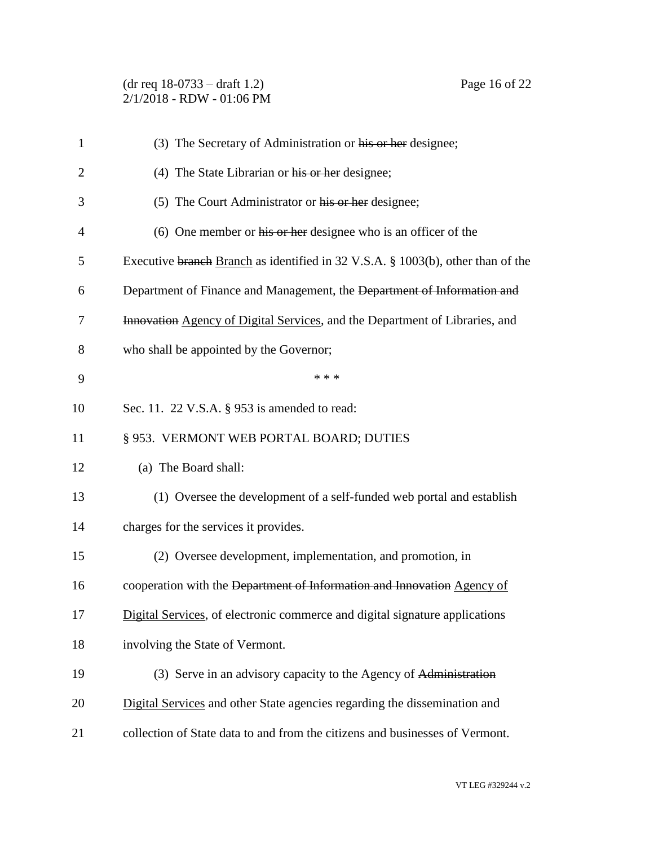(dr req 18-0733 – draft 1.2) Page 16 of 22 2/1/2018 - RDW - 01:06 PM

| $\mathbf{1}$   | (3) The Secretary of Administration or his or her designee;                     |  |  |  |
|----------------|---------------------------------------------------------------------------------|--|--|--|
| $\overline{2}$ | (4) The State Librarian or his or her designee;                                 |  |  |  |
| 3              | (5) The Court Administrator or his or her designee;                             |  |  |  |
| $\overline{4}$ | (6) One member or his or her designee who is an officer of the                  |  |  |  |
| 5              | Executive branch Branch as identified in 32 V.S.A. § 1003(b), other than of the |  |  |  |
| 6              | Department of Finance and Management, the Department of Information and         |  |  |  |
| 7              | Innovation Agency of Digital Services, and the Department of Libraries, and     |  |  |  |
| 8              | who shall be appointed by the Governor;                                         |  |  |  |
| 9              | * * *                                                                           |  |  |  |
| 10             | Sec. 11. 22 V.S.A. § 953 is amended to read:                                    |  |  |  |
| 11             | § 953. VERMONT WEB PORTAL BOARD; DUTIES                                         |  |  |  |
| 12             | (a) The Board shall:                                                            |  |  |  |
| 13             | (1) Oversee the development of a self-funded web portal and establish           |  |  |  |
| 14             | charges for the services it provides.                                           |  |  |  |
| 15             | (2) Oversee development, implementation, and promotion, in                      |  |  |  |
| 16             | cooperation with the Department of Information and Innovation Agency of         |  |  |  |
| 17             | Digital Services, of electronic commerce and digital signature applications     |  |  |  |
| 18             | involving the State of Vermont.                                                 |  |  |  |
| 19             | (3) Serve in an advisory capacity to the Agency of Administration               |  |  |  |
| 20             | Digital Services and other State agencies regarding the dissemination and       |  |  |  |
| 21             | collection of State data to and from the citizens and businesses of Vermont.    |  |  |  |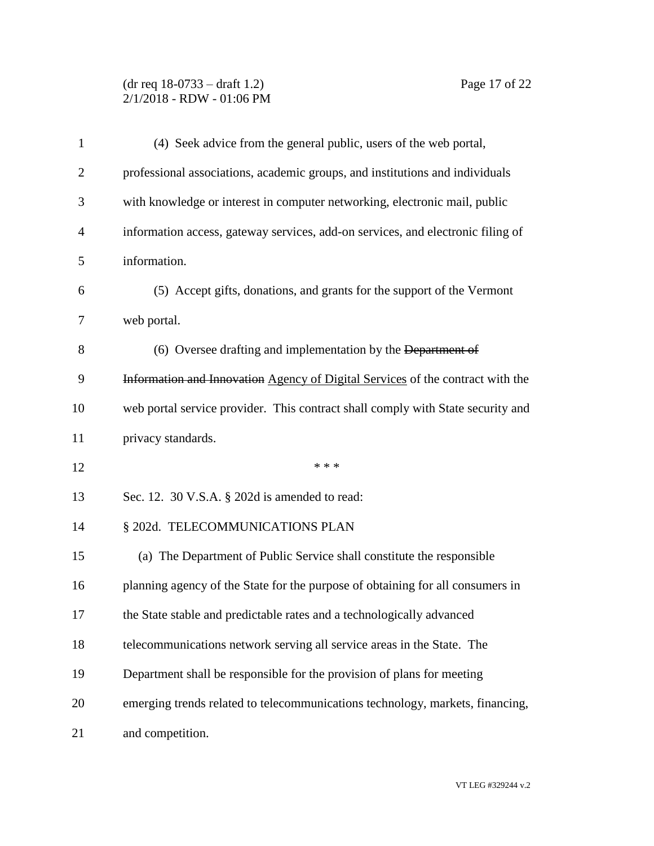## (dr req 18-0733 – draft 1.2) Page 17 of 22 2/1/2018 - RDW - 01:06 PM

| $\mathbf{1}$ | (4) Seek advice from the general public, users of the web portal,               |  |  |  |
|--------------|---------------------------------------------------------------------------------|--|--|--|
| 2            | professional associations, academic groups, and institutions and individuals    |  |  |  |
| 3            | with knowledge or interest in computer networking, electronic mail, public      |  |  |  |
| 4            | information access, gateway services, add-on services, and electronic filing of |  |  |  |
| 5            | information.                                                                    |  |  |  |
| 6            | (5) Accept gifts, donations, and grants for the support of the Vermont          |  |  |  |
| 7            | web portal.                                                                     |  |  |  |
| 8            | (6) Oversee drafting and implementation by the Department of                    |  |  |  |
| 9            | Information and Innovation Agency of Digital Services of the contract with the  |  |  |  |
| 10           | web portal service provider. This contract shall comply with State security and |  |  |  |
| 11           | privacy standards.                                                              |  |  |  |
| 12           | * * *                                                                           |  |  |  |
| 13           | Sec. 12. 30 V.S.A. § 202d is amended to read:                                   |  |  |  |
| 14           | § 202d. TELECOMMUNICATIONS PLAN                                                 |  |  |  |
| 15           | (a) The Department of Public Service shall constitute the responsible           |  |  |  |
| 16           | planning agency of the State for the purpose of obtaining for all consumers in  |  |  |  |
| 17           | the State stable and predictable rates and a technologically advanced           |  |  |  |
| 18           | telecommunications network serving all service areas in the State. The          |  |  |  |
| 19           | Department shall be responsible for the provision of plans for meeting          |  |  |  |
| 20           | emerging trends related to telecommunications technology, markets, financing,   |  |  |  |
| 21           | and competition.                                                                |  |  |  |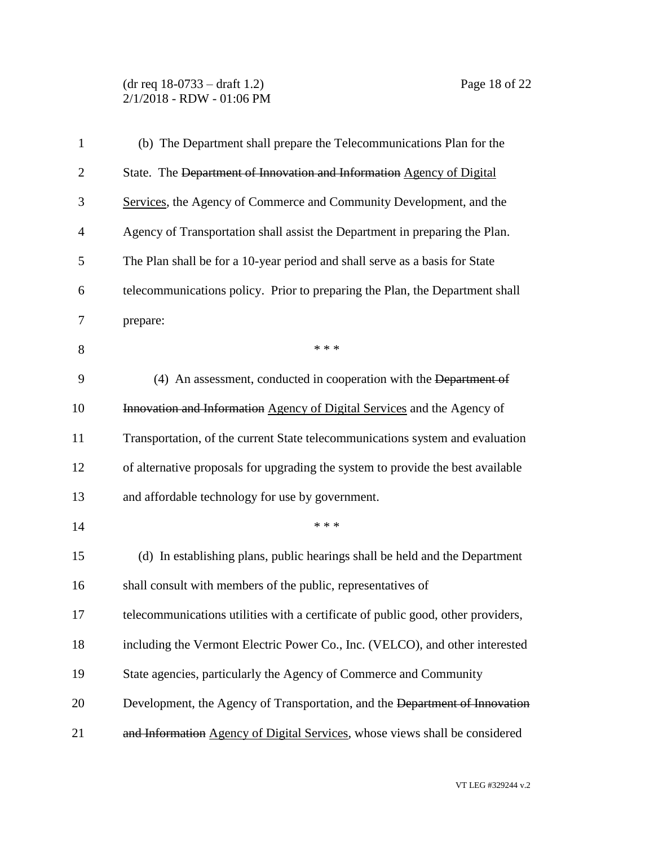# (dr req 18-0733 – draft 1.2) Page 18 of 22 2/1/2018 - RDW - 01:06 PM

| $\mathbf{1}$   | (b) The Department shall prepare the Telecommunications Plan for the             |  |  |  |
|----------------|----------------------------------------------------------------------------------|--|--|--|
| $\overline{c}$ | State. The Department of Innovation and Information Agency of Digital            |  |  |  |
| 3              | Services, the Agency of Commerce and Community Development, and the              |  |  |  |
| 4              | Agency of Transportation shall assist the Department in preparing the Plan.      |  |  |  |
| 5              | The Plan shall be for a 10-year period and shall serve as a basis for State      |  |  |  |
| 6              | telecommunications policy. Prior to preparing the Plan, the Department shall     |  |  |  |
| 7              | prepare:                                                                         |  |  |  |
| 8              | * * *                                                                            |  |  |  |
| 9              | (4) An assessment, conducted in cooperation with the Department of               |  |  |  |
| 10             | Innovation and Information Agency of Digital Services and the Agency of          |  |  |  |
| 11             | Transportation, of the current State telecommunications system and evaluation    |  |  |  |
| 12             | of alternative proposals for upgrading the system to provide the best available  |  |  |  |
| 13             | and affordable technology for use by government.                                 |  |  |  |
| 14             | * * *                                                                            |  |  |  |
| 15             | (d) In establishing plans, public hearings shall be held and the Department      |  |  |  |
| 16             | shall consult with members of the public, representatives of                     |  |  |  |
| 17             | telecommunications utilities with a certificate of public good, other providers, |  |  |  |
| 18             | including the Vermont Electric Power Co., Inc. (VELCO), and other interested     |  |  |  |
| 19             | State agencies, particularly the Agency of Commerce and Community                |  |  |  |
| 20             | Development, the Agency of Transportation, and the Department of Innovation      |  |  |  |
| 21             | and Information Agency of Digital Services, whose views shall be considered      |  |  |  |

VT LEG #329244 v.2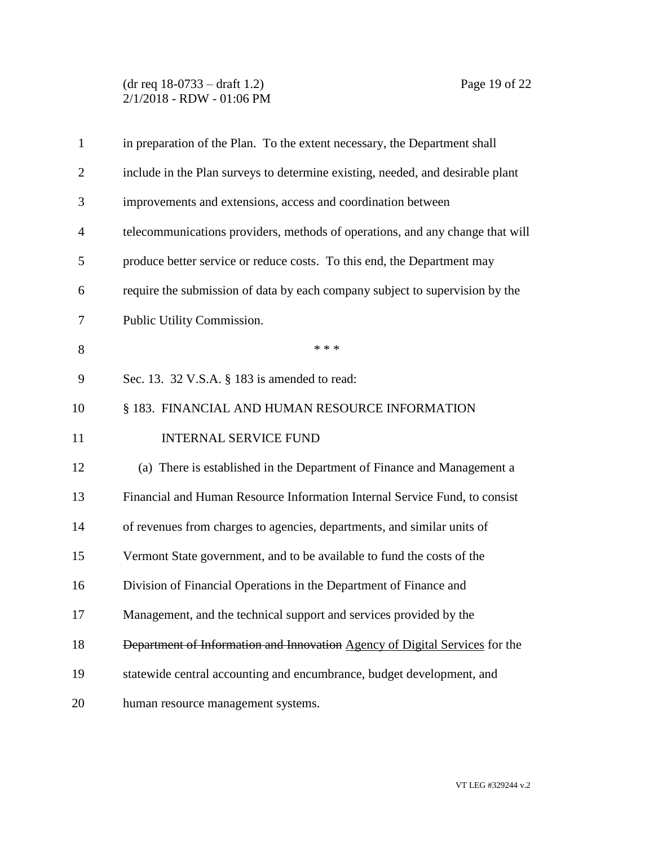## (dr req 18-0733 – draft 1.2) Page 19 of 22 2/1/2018 - RDW - 01:06 PM

| $\mathbf{1}$   | in preparation of the Plan. To the extent necessary, the Department shall      |  |  |
|----------------|--------------------------------------------------------------------------------|--|--|
| $\overline{2}$ | include in the Plan surveys to determine existing, needed, and desirable plant |  |  |
| 3              | improvements and extensions, access and coordination between                   |  |  |
| 4              | telecommunications providers, methods of operations, and any change that will  |  |  |
| 5              | produce better service or reduce costs. To this end, the Department may        |  |  |
| 6              | require the submission of data by each company subject to supervision by the   |  |  |
| 7              | Public Utility Commission.                                                     |  |  |
| 8              | * * *                                                                          |  |  |
| 9              | Sec. 13. 32 V.S.A. § 183 is amended to read:                                   |  |  |
| 10             | § 183. FINANCIAL AND HUMAN RESOURCE INFORMATION                                |  |  |
| 11             | <b>INTERNAL SERVICE FUND</b>                                                   |  |  |
| 12             | (a) There is established in the Department of Finance and Management a         |  |  |
| 13             | Financial and Human Resource Information Internal Service Fund, to consist     |  |  |
| 14             | of revenues from charges to agencies, departments, and similar units of        |  |  |
| 15             | Vermont State government, and to be available to fund the costs of the         |  |  |
| 16             | Division of Financial Operations in the Department of Finance and              |  |  |
| 17             | Management, and the technical support and services provided by the             |  |  |
| 18             | Department of Information and Innovation Agency of Digital Services for the    |  |  |
| 19             | statewide central accounting and encumbrance, budget development, and          |  |  |
| 20             | human resource management systems.                                             |  |  |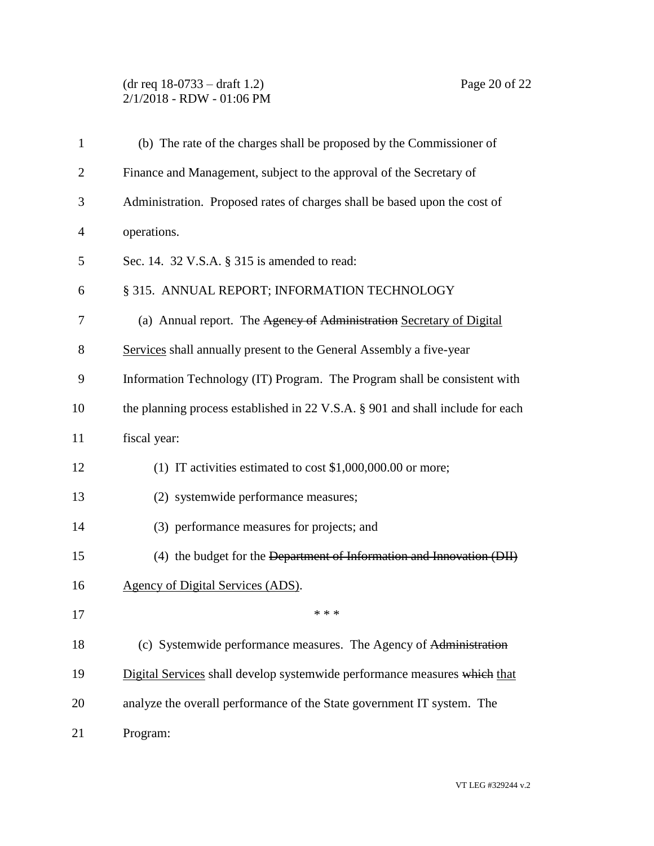# (dr req 18-0733 – draft 1.2) Page 20 of 22 2/1/2018 - RDW - 01:06 PM

| $\mathbf{1}$   | (b) The rate of the charges shall be proposed by the Commissioner of           |
|----------------|--------------------------------------------------------------------------------|
| $\overline{2}$ | Finance and Management, subject to the approval of the Secretary of            |
| 3              | Administration. Proposed rates of charges shall be based upon the cost of      |
| 4              | operations.                                                                    |
| 5              | Sec. 14. 32 V.S.A. § 315 is amended to read:                                   |
| 6              | § 315. ANNUAL REPORT; INFORMATION TECHNOLOGY                                   |
| 7              | (a) Annual report. The Agency of Administration Secretary of Digital           |
| 8              | Services shall annually present to the General Assembly a five-year            |
| 9              | Information Technology (IT) Program. The Program shall be consistent with      |
| 10             | the planning process established in 22 V.S.A. § 901 and shall include for each |
| 11             | fiscal year:                                                                   |
| 12             | (1) IT activities estimated to cost $$1,000,000.00$ or more;                   |
| 13             | (2) systemwide performance measures;                                           |
| 14             | (3) performance measures for projects; and                                     |
| 15             | (4) the budget for the Department of Information and Innovation (DII)          |
| 16             | <b>Agency of Digital Services (ADS).</b>                                       |
| 17             | * * *                                                                          |
| 18             | (c) Systemwide performance measures. The Agency of Administration              |
| 19             | Digital Services shall develop systemwide performance measures which that      |
| 20             | analyze the overall performance of the State government IT system. The         |
| 21             | Program:                                                                       |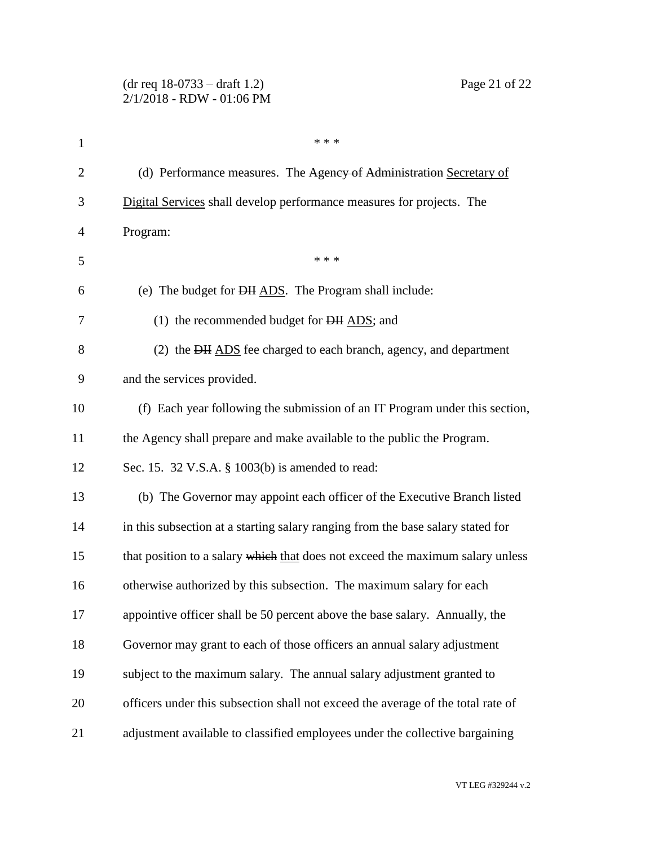|                | $(dr \text{ req } 18-0733 - draft 1.2)$<br>Page 21 of 22<br>2/1/2018 - RDW - 01:06 PM |  |  |  |
|----------------|---------------------------------------------------------------------------------------|--|--|--|
| $\mathbf{1}$   | * * *                                                                                 |  |  |  |
| $\overline{2}$ | (d) Performance measures. The Agency of Administration Secretary of                   |  |  |  |
| 3              | Digital Services shall develop performance measures for projects. The                 |  |  |  |
| 4              | Program:                                                                              |  |  |  |
| 5              | * * *                                                                                 |  |  |  |
| 6              | (e) The budget for <del>DII</del> ADS. The Program shall include:                     |  |  |  |
| 7              | (1) the recommended budget for <del>DH</del> ADS; and                                 |  |  |  |
| 8              | (2) the DH ADS fee charged to each branch, agency, and department                     |  |  |  |
| 9              | and the services provided.                                                            |  |  |  |
| 10             | (f) Each year following the submission of an IT Program under this section,           |  |  |  |
| 11             | the Agency shall prepare and make available to the public the Program.                |  |  |  |
| 12             | Sec. 15. 32 V.S.A. § 1003(b) is amended to read:                                      |  |  |  |
| 13             | (b) The Governor may appoint each officer of the Executive Branch listed              |  |  |  |
| 14             | in this subsection at a starting salary ranging from the base salary stated for       |  |  |  |
| 15             | that position to a salary which that does not exceed the maximum salary unless        |  |  |  |
| 16             | otherwise authorized by this subsection. The maximum salary for each                  |  |  |  |
| 17             | appointive officer shall be 50 percent above the base salary. Annually, the           |  |  |  |
| 18             | Governor may grant to each of those officers an annual salary adjustment              |  |  |  |
| 19             | subject to the maximum salary. The annual salary adjustment granted to                |  |  |  |
| 20             | officers under this subsection shall not exceed the average of the total rate of      |  |  |  |
| 21             | adjustment available to classified employees under the collective bargaining          |  |  |  |